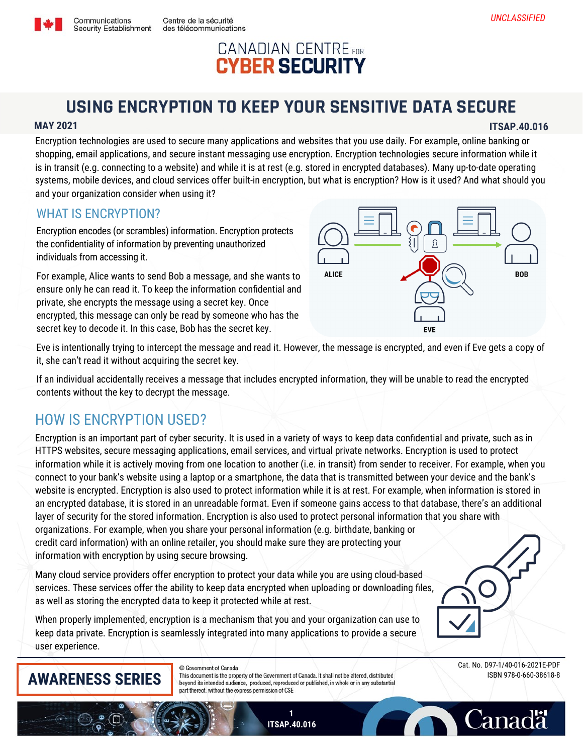## **CANADIAN CENTRE** FOR **CYBER SECURITY**

# **USING ENCRYPTION TO KEEP YOUR SENSITIVE DATA SECURE**

## **MAY 2021 ITSAP.40.016**

Encryption technologies are used to secure many applications and websites that you use daily. For example, online banking or shopping, email applications, and secure instant messaging use encryption. Encryption technologies secure information while it is in transit (e.g. connecting to a website) and while it is at rest (e.g. stored in encrypted databases). Many up-to-date operating systems, mobile devices, and cloud services offer built-in encryption, but what is encryption? How is it used? And what should you and your organization consider when using it?

## WHAT IS ENCRYPTION?

Encryption encodes (or scrambles) information. Encryption protects the confidentiality of information by preventing unauthorized individuals from accessing it.

Centre de la sécurité

des télécommunications

For example, Alice wants to send Bob a message, and she wants to ensure only he can read it. To keep the information confidential and private, she encrypts the message using a secret key. Once encrypted, this message can only be read by someone who has the secret key to decode it. In this case, Bob has the secret key.



Eve is intentionally trying to intercept the message and read it. However, the message is encrypted, and even if Eve gets a copy of it, she can't read it without acquiring the secret key.

If an individual accidentally receives a message that includes encrypted information, they will be unable to read the encrypted contents without the key to decrypt the message.

## HOW IS ENCRYPTION USED?

Encryption is an important part of cyber security. It is used in a variety of ways to keep data confidential and private, such as in HTTPS websites, secure messaging applications, email services, and virtual private networks. Encryption is used to protect information while it is actively moving from one location to another (i.e. in transit) from sender to receiver. For example, when you connect to your bank's website using a laptop or a smartphone, the data that is transmitted between your device and the bank's website is encrypted. Encryption is also used to protect information while it is at rest. For example, when information is stored in an encrypted database, it is stored in an unreadable format. Even if someone gains access to that database, there's an additional layer of security for the stored information. Encryption is also used to protect personal information that you share with organizations. For example, when you share your personal information (e.g. birthdate, banking or credit card information) with an online retailer, you should make sure they are protecting your information with encryption by using secure browsing.

Many cloud service providers offer encryption to protect your data while you are using cloud-based services. These services offer the ability to keep data encrypted when uploading or downloading files, as well as storing the encrypted data to keep it protected while at rest.

When properly implemented, encryption is a mechanism that you and your organization can use to keep data private. Encryption is seamlessly integrated into many applications to provide a secure user experience.

# **AWARENESS SERIES**

C Government of Canada

This document is the property of the Government of Canada. It shall not be altered, distributed beyond its intended audience, produced, reproduced or published, in whole or in any substantial part thereof, without the express permission of CSE

Cat. No. D97-1/40-016-2021E-PDF ISBN 978-0-660-38618-8

**Canadä** 





Communications